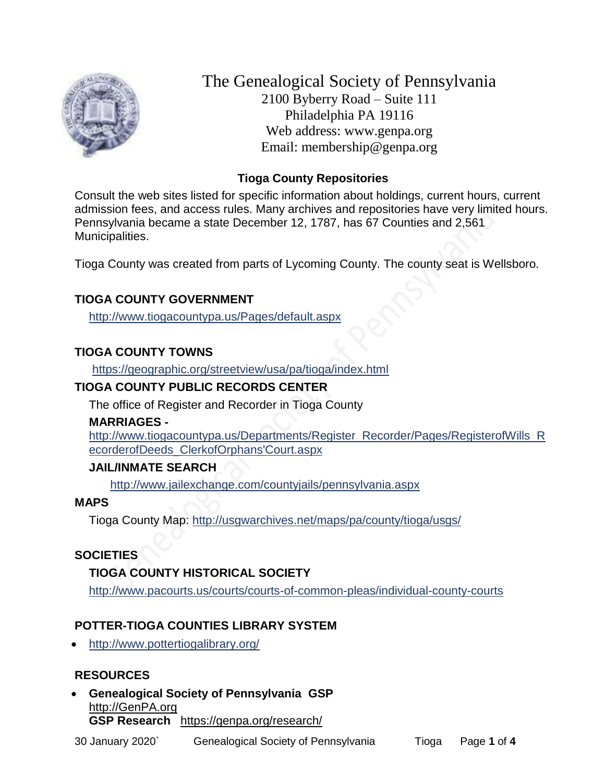

The Genealogical Society of Pennsylvania 2100 Byberry Road – Suite 111 Philadelphia PA 19116 Web address: www.genpa.org Email: membership@genpa.org

## **Tioga County Repositories**

Consult the web sites listed for specific information about holdings, current hours, current admission fees, and access rules. Many archives and repositories have very limited hours. Pennsylvania became a state December 12, 1787, has 67 Counties and 2,561 Municipalities.

Tioga County was created from parts of Lycoming County. The county seat is Wellsboro.

# **TIOGA COUNTY GOVERNMENT**

<http://www.tiogacountypa.us/Pages/default.aspx>

# **TIOGA COUNTY TOWNS**

<https://geographic.org/streetview/usa/pa/tioga/index.html>

## **TIOGA COUNTY PUBLIC RECORDS CENTER**

The office of Register and Recorder in Tioga County

### **MARRIAGES -**

[http://www.tiogacountypa.us/Departments/Register\\_Recorder/Pages/RegisterofWills\\_R](http://www.tiogacountypa.us/Departments/Register_Recorder/Pages/RegisterofWills_RecorderofDeeds_ClerkofOrphans) [ecorderofDeeds\\_ClerkofOrphans'Court.aspx](http://www.tiogacountypa.us/Departments/Register_Recorder/Pages/RegisterofWills_RecorderofDeeds_ClerkofOrphans)

# **JAIL/INMATE SEARCH**

<http://www.jailexchange.com/countyjails/pennsylvania.aspx>

# **MAPS**

Tioga County Map:<http://usgwarchives.net/maps/pa/county/tioga/usgs/>

# **SOCIETIES**

# **TIOGA COUNTY HISTORICAL SOCIETY**

<http://www.pacourts.us/courts/courts-of-common-pleas/individual-county-courts>

# **POTTER-TIOGA COUNTIES LIBRARY SYSTEM**

<http://www.pottertiogalibrary.org/>

# **RESOURCES**

 **Genealogical Society of Pennsylvania GSP** [http://GenPA.org](http://genpa.org/) **GSP Research** <https://genpa.org/research/>

30 January 2020` Genealogical Society of Pennsylvania Tioga Page **1** of **4**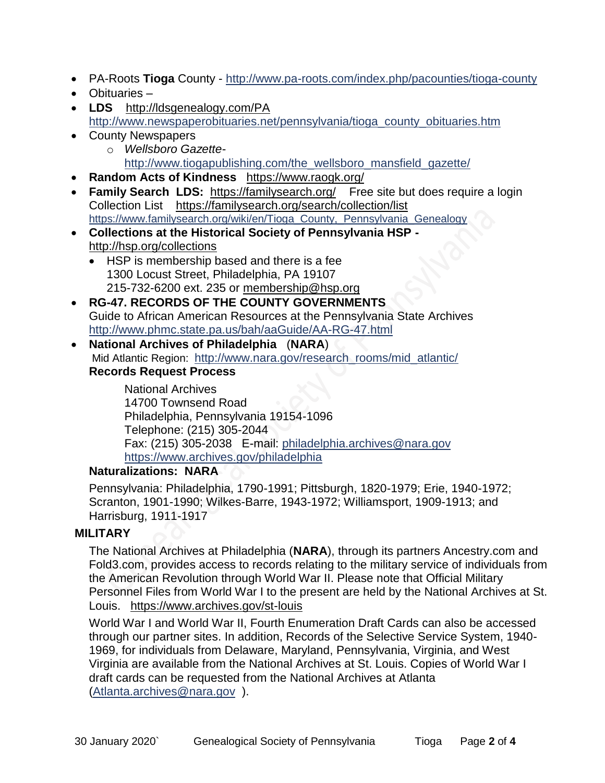- PA-Roots **Tioga** County <http://www.pa-roots.com/index.php/pacounties/tioga-county>
- Obituaries –
- LDS <http://ldsgenealogy.com/PA> [http://www.newspaperobituaries.net/pennsylvania/tioga\\_county\\_obituaries.htm](http://www.newspaperobituaries.net/pennsylvania/tioga_county_obituaries.htm)
- County Newspapers
	- o *Wellsboro Gazette*[http://www.tiogapublishing.com/the\\_wellsboro\\_mansfield\\_gazette/](http://www.tiogapublishing.com/the_wellsboro_mansfield_gazette/)
- **Random Acts of Kindness** <https://www.raogk.org/>
- Family Search LDS: <https://familysearch.org/>Free site but does require a login Collection List <https://familysearch.org/search/collection/list> [https://www.familysearch.org/wiki/en/Tioga\\_County,\\_Pennsylvania\\_Genealogy](https://www.familysearch.org/wiki/en/Tioga_County,_Pennsylvania_Genealogy)
- **Collections at the Historical Society of Pennsylvania HSP**  <http://hsp.org/collections>
	- HSP is membership based and there is a fee 1300 Locust Street, Philadelphia, PA 19107 215-732-6200 ext. 235 or [membership@hsp.org](mailto:membership@hsp.org)
- **RG-47. RECORDS OF THE COUNTY GOVERNMENTS** Guide to African American Resources at the Pennsylvania State Archives <http://www.phmc.state.pa.us/bah/aaGuide/AA-RG-47.html>
- **National Archives of Philadelphia** (**NARA**) Mid Atlantic Region: [http://www.nara.gov/research\\_rooms/mid\\_atlantic/](http://www.nara.gov/research_rooms/mid_atlantic/) **Records Request Process**

National Archives 14700 Townsend Road Philadelphia, Pennsylvania 19154-1096 Telephone: (215) 305-2044 Fax: (215) 305-2038 E-mail: [philadelphia.archives@nara.gov](mailto:philadelphia.archives@nara.gov) <https://www.archives.gov/philadelphia>

## **Naturalizations: NARA**

Pennsylvania: Philadelphia, 1790-1991; Pittsburgh, 1820-1979; Erie, 1940-1972; Scranton, 1901-1990; Wilkes-Barre, 1943-1972; Williamsport, 1909-1913; and Harrisburg, 1911-1917

## **MILITARY**

The National Archives at Philadelphia (**NARA**), through its partners Ancestry.com and Fold3.com, provides access to records relating to the military service of individuals from the American Revolution through World War II. Please note that Official Military Personnel Files from World War I to the present are held by the National Archives at St. Louis. <https://www.archives.gov/st-louis>

World War I and World War II, Fourth Enumeration Draft Cards can also be accessed through our partner sites. In addition, Records of the Selective Service System, 1940- 1969, for individuals from Delaware, Maryland, Pennsylvania, Virginia, and West Virginia are available from the National Archives at St. Louis. Copies of World War I draft cards can be requested from the National Archives at Atlanta [\(Atlanta.archives@nara.gov](mailto:Atlanta.archives@nara.gov) ).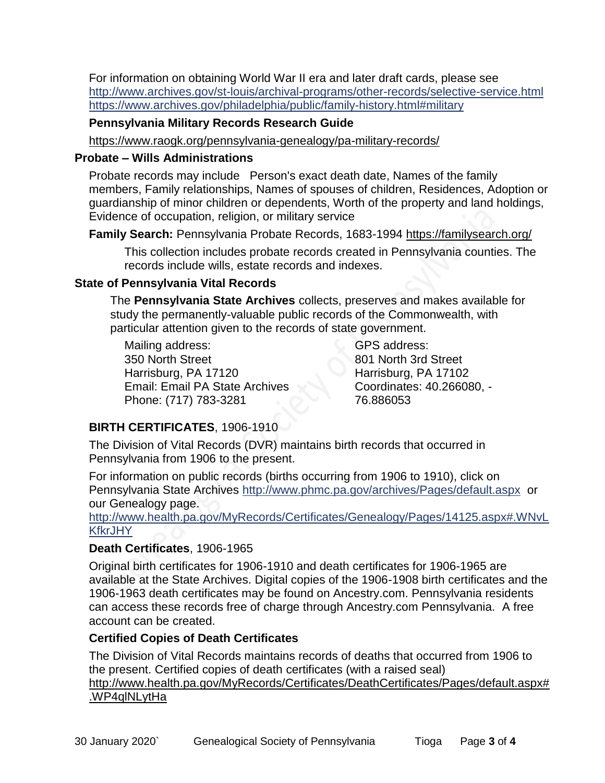For information on obtaining World War II era and later draft cards, please see <http://www.archives.gov/st-louis/archival-programs/other-records/selective-service.html> <https://www.archives.gov/philadelphia/public/family-history.html#military>

### **Pennsylvania Military Records Research Guide**

<https://www.raogk.org/pennsylvania-genealogy/pa-military-records/>

### **Probate – Wills Administrations**

Probate records may include Person's exact death date, Names of the family members, Family relationships, Names of spouses of children, Residences, Adoption or guardianship of minor children or dependents, Worth of the property and land holdings, Evidence of occupation, religion, or military service

**Family Search:** Pennsylvania Probate Records, 1683-1994 <https://familysearch.org/>

This collection includes probate records created in Pennsylvania counties. The records include wills, estate records and indexes.

## **State of Pennsylvania Vital Records**

The **Pennsylvania State Archives** collects, preserves and makes available for study the permanently-valuable public records of the Commonwealth, with particular attention given to the records of state government.

Mailing address: 350 North Street Harrisburg, PA 17120 Email: Email PA State Archives Phone: (717) 783-3281

GPS address: 801 North 3rd Street Harrisburg, PA 17102 Coordinates: 40.266080, - 76.886053

# **BIRTH CERTIFICATES**, 1906-1910

The Division of Vital Records (DVR) maintains birth records that occurred in Pennsylvania from 1906 to the present.

For information on public records (births occurring from 1906 to 1910), click on Pennsylvania State Archives <http://www.phmc.pa.gov/archives/Pages/default.aspx>or our Genealogy page.

[http://www.health.pa.gov/MyRecords/Certificates/Genealogy/Pages/14125.aspx#.WNvL](http://www.health.pa.gov/MyRecords/Certificates/Genealogy/Pages/14125.aspx#.WNvLKfkrJHY) **[KfkrJHY](http://www.health.pa.gov/MyRecords/Certificates/Genealogy/Pages/14125.aspx#.WNvLKfkrJHY)** 

# **Death Certificates**, 1906-1965

Original birth certificates for 1906-1910 and death certificates for 1906-1965 are available at the State Archives. Digital copies of the 1906-1908 birth certificates and the 1906-1963 death certificates may be found on Ancestry.com. Pennsylvania residents can access these records free of charge through Ancestry.com Pennsylvania. A free account can be created.

## **Certified Copies of Death Certificates**

The Division of Vital Records maintains records of deaths that occurred from 1906 to the present. Certified copies of death certificates (with a raised seal) http://www.health.pa.gov/MyRecords/Certificates/DeathCertificates/Pages/default.aspx# .WP4qlNLytHa